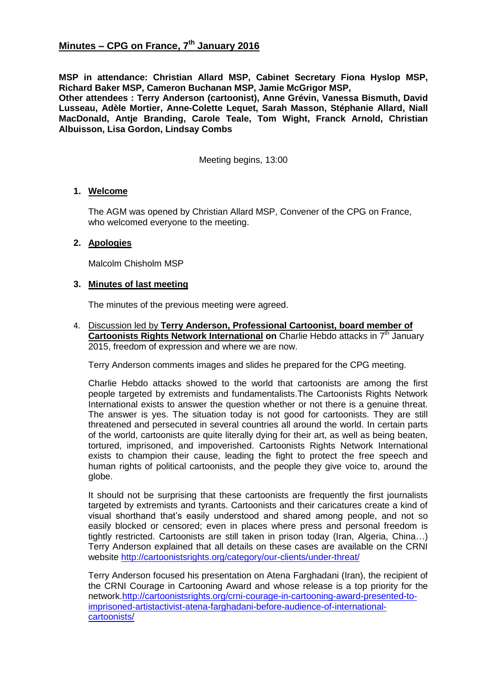**MSP in attendance: Christian Allard MSP, Cabinet Secretary Fiona Hyslop MSP, Richard Baker MSP, Cameron Buchanan MSP, Jamie McGrigor MSP,** 

**Other attendees : Terry Anderson (cartoonist), Anne Grévin, Vanessa Bismuth, David Lusseau, Adèle Mortier, Anne-Colette Lequet, Sarah Masson, Stéphanie Allard, Niall MacDonald, Antje Branding, Carole Teale, Tom Wight, Franck Arnold, Christian Albuisson, Lisa Gordon, Lindsay Combs**

Meeting begins, 13:00

# **1. Welcome**

The AGM was opened by Christian Allard MSP, Convener of the CPG on France, who welcomed everyone to the meeting.

# **2. Apologies**

Malcolm Chisholm MSP

# **3. Minutes of last meeting**

The minutes of the previous meeting were agreed.

4. Discussion led by **Terry Anderson, Professional Cartoonist, board member of Cartoonists Rights Network International on** Charlie Hebdo attacks in 7<sup>th</sup> January 2015, freedom of expression and where we are now.

Terry Anderson comments images and slides he prepared for the CPG meeting.

Charlie Hebdo attacks showed to the world that cartoonists are among the first people targeted by extremists and fundamentalists.The Cartoonists Rights Network International exists to answer the question whether or not there is a genuine threat. The answer is yes. The situation today is not good for cartoonists. They are still threatened and persecuted in several countries all around the world. In certain parts of the world, cartoonists are quite literally dying for their art, as well as being beaten, tortured, imprisoned, and impoverished. Cartoonists Rights Network International exists to champion their cause, leading the fight to protect the free speech and human rights of political cartoonists, and the people they give voice to, around the globe.

It should not be surprising that these cartoonists are frequently the first journalists targeted by extremists and tyrants. Cartoonists and their caricatures create a kind of visual shorthand that's easily understood and shared among people, and not so easily blocked or censored; even in places where press and personal freedom is tightly restricted. Cartoonists are still taken in prison today (Iran, Algeria, China…) Terry Anderson explained that all details on these cases are available on the CRNI website<http://cartoonistsrights.org/category/our-clients/under-threat/>

Terry Anderson focused his presentation on Atena Farghadani (Iran), the recipient of the CRNI Courage in Cartooning Award and whose release is a top priority for the network[.http://cartoonistsrights.org/crni-courage-in-cartooning-award-presented-to](http://cartoonistsrights.org/crni-courage-in-cartooning-award-presented-to-imprisoned-artistactivist-atena-farghadani-before-audience-of-international-cartoonists/)[imprisoned-artistactivist-atena-farghadani-before-audience-of-international](http://cartoonistsrights.org/crni-courage-in-cartooning-award-presented-to-imprisoned-artistactivist-atena-farghadani-before-audience-of-international-cartoonists/)[cartoonists/](http://cartoonistsrights.org/crni-courage-in-cartooning-award-presented-to-imprisoned-artistactivist-atena-farghadani-before-audience-of-international-cartoonists/)